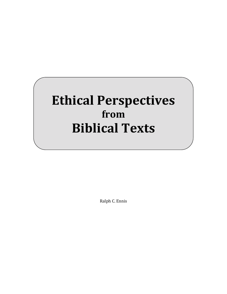# **Ethical Perspectives from Biblical Texts**

Ralph C. Ennis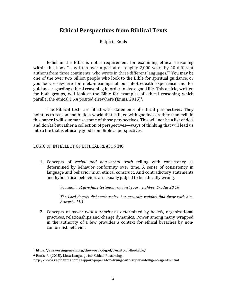## **Ethical Perspectives from Biblical Texts**

Ralph C. Ennis

Belief in the Bible is not a requirement for examining ethical reasoning within this book "... written over a period of roughly  $2,000$  years by 40 different authors from three continents, who wrote in three different languages."<sup>1</sup> You may be one of the over two billion people who look to the Bible for spiritual guidance, or you look elsewhere for meta-meanings of our life-to-death experience and for guidance regarding ethical reasoning in order to live a good life. This article, written for both groups, will look at the Bible for examples of ethical reasoning which parallel the ethical DNA posited elsewhere (Ennis, 2015)<sup>2</sup>.

The Biblical texts are filled with statements of ethical perspectives. They point us to reason and build a world that is filled with goodness rather than evil. In this paper I will summarize some of those perspectives. This will not be a list of do's and don'ts but rather a collection of perspectives—ways of thinking that will lead us into a life that is ethically good from Biblical perspectives.

#### LOGIC OF INTELLECT OF ETHICAL REASONING

1. Concepts of *verbal and non-verbal truth* telling with consistency as determined by behavior conformity over time. A sense of consistency in language and behavior is an ethical construct. And contradictory statements and hypocritical behaviors are usually judged to be ethically wrong.

*You shall not give false testimony against your neighbor. Exodus 20:16* 

The Lord detests dishonest scales, but accurate weights find favor with him. *Proverbs 11:1*

2. Concepts of *power with authority* as determined by beliefs, organizational practices, relationships and change dynamics. Power among many wrapped in the authority of a few provides a context for ethical breaches by nonconformist behavior.

 

<sup>1</sup> https://answersingenesis.org/the-word-of-god/3-unity-of-the-bible/

 $2$  Ennis, R. (2015). Meta-Language for Ethical Reasoning.

http://www.ralphennis.com/support-papers-for--living-with-super-intelligent-agents-.html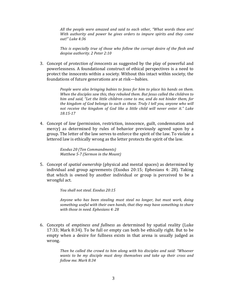All the people were amazed and said to each other, "What words these are! *With* authority and power he gives orders to impure spirits and they come *out!" Luke 4:36*

This is especially true of those who follow the corrupt desire of the flesh and despise authority. 2 Peter 2:10

3. Concept of *protection of innocents* as suggested by the play of powerful and powerlessness. A foundational construct of ethical perspectives is a need to protect the innocents within a society. Without this intact within society, the foundations of future generations are at risk—babies.

> *People were also bringing babies to lesus for him to place his hands on them.* When the disciples saw this, they rebuked them. But Jesus called the children to *him and said, "Let the little children come to me, and do not hinder them, for the kingdom of God belongs to such as these. Truly I tell you, anyone who will not receive the kingdom of God like a little child will never enter it."* Luke *18:15-17*

4. Concept of *law* (permission, restriction, innocence, guilt, condemnation and mercy) as determined by rules of behavior previously agreed upon by a group. The letter of the law serves to enforce the spirit of the law. To violate a lettered law is ethically wrong as the letter protects the spirit of the law.

> *Exodus 20 (Ten Commandments) Matthew 5-7 (Sermon in the Mount)*

5. Concept of *spatial ownership* (physical and mental spaces) as determined by individual and group agreements (Exodus 20:15; Ephesians 4: 28). Taking that which is owned by another individual or group is perceived to be a wrongful act.

*You shall not steal. Exodus 20:15*

Anyone who has been stealing must steal no longer, but must work, doing something useful with their own hands, that they may have something to share *with those in need. Ephesians 4: 28* 

6. Concepts of *emptiness and fullness* as determined by spatial reality (Luke 17:33; Mark 8:34). To be full or empty can both be ethically right. But to be empty when a desire for fullness exists in that arena is usually judged as wrong.

> *Then he called the crowd to him along with his disciples and said: "Whoever wants to be my disciple must deny themselves and take up their cross and follow me. Mark 8:34*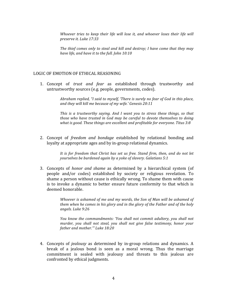*Whoever tries to keep their life will lose it, and whoever loses their life will preserve it. Luke 17:33*

The thief comes only to steal and kill and destroy; I have come that they may have life, and have it to the full. John 10:10

#### LOGIC OF EMOTION OF ETHICAL REASONING

1. Concept of *trust and fear* as established through trustworthy and untrustworthy sources (e.g. people, governments, codes).

> *Abraham replied, "I said to myself, 'There is surely no fear of God in this place,* and they will kill me because of my wife.' Genesis 20:11

> *This* is a trustworthy saying. And I want you to stress these things, so that *those* who have trusted in God may be careful to devote themselves to doing *what is good. These things are excellent and profitable for everyone. Titus 3:8*

2. Concept of *freedom and bondage* established by relational bonding and loyalty at appropriate ages and by in-group relational dynamics.

> It is for freedom that Christ has set us free. Stand firm, then, and do not let *yourselves be burdened again by a yoke of slavery. Galatians 5:1*

3. Concepts of *honor and shame* as determined by a hierarchical system (of people and/or codes) established by society or religious revelation. To shame a person without cause is ethically wrong. To shame them with cause is to invoke a dynamic to better ensure future conformity to that which is deemed honorable.

> *Whoever is ashamed of me and my words, the Son of Man will be ashamed of them* when he comes in his glory and in the glory of the Father and of the holy *angels. Luke 9:26*

> *You* know the commandments: 'You shall not commit adultery, you shall not *murder, you shall not steal, you shall not give false testimony, honor your* father and mother." Luke 18:20

4. Concepts of *jealousy* as determined by in-group relations and dynamics. A break of a jealous bond is seen as a moral wrong. Thus the marriage commitment is sealed with jealousy and threats to this jealous are confronted by ethical judgments.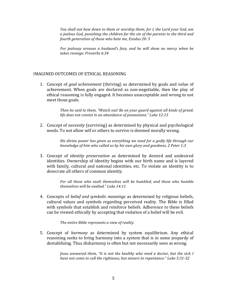*You* shall not bow down to them or worship them; for I, the Lord your God, am *a* jealous God, punishing the children for the sin of the parents to the third and *fourth generation of those who hate me, Exodus 20: 5* 

*For jealousy arouses a husband's fury, and he will show no mercy when he takes revenge. Proverbs 6:34*

#### IMAGINED OUTCOMES OF ETHICAL REASONING

1. Concept of *goal achievement* (thriving) as determined by goals and value of achievement. When goals are declared as non-negotiable, then the play of ethical reasoning is fully engaged. It becomes unacceptable and wrong to not meet those goals.

> Then he said to them, "Watch out! Be on your guard against all kinds of greed; life does not consist in an abundance of possessions." Luke 12:15

2. Concept of *necessity* (surviving) as determined by physical and psychological needs. To not allow self or others to survive is deemed morally wrong.

> *His* divine power has given us everything we need for a godly life through our *knowledge of him who called us by his own glory and goodness. 2 Peter 1:3*

3. Concept of *identity preservation* as determined by desired and undesired identities. Ownership of identity begins with our birth name and is layered with family, cultural and national identities, etc. To violate an identity is to desecrate all others of common identity.

> For all those who exalt themselves will be humbled, and those who humble *themselves will be exalted." Luke 14:11*

4. Concepts of *belief and symbolic meanings* as determined by religious beliefs, cultural values and symbols regarding perceived reality. The Bible is filled with symbols that establish and reinforce beliefs. Adherence to these beliefs can be viewed ethically by accepting that violation of a belief will be evil.

The entire Bible represents a view of reality.

5. Concept of *harmony* as determined by system equilibrium. Any ethical reasoning seeks to bring harmony into a system that is in some jeopardy of destabilizing. Thus disharmony is often but not necessarily seen as wrong.

> *Jesus answered them, "It is not the healthy who need a doctor, but the sick. I* have not come to call the righteous, but sinners to repentance." Luke 5:31-32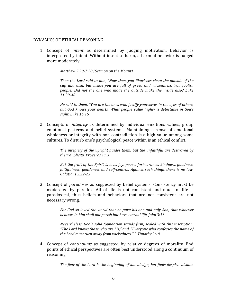#### DYNAMICS OF ETHICAL REASONING

1. Concept of *intent* as determined by judging motivation. Behavior is interpreted by intent. Without intent to harm, a harmful behavior is judged more moderately.

*Matthew 5:20-7:28 (Sermon on the Mount)* 

Then the Lord said to him, "Now then, you Pharisees clean the outside of the cup and dish, but inside you are full of greed and wickedness. You foolish *people!* Did not the one who made the outside make the inside also? Luke *11:39-40*

*He said to them, "You are the ones who justify yourselves in the eyes of others,* but God knows your hearts. What people value highly is detestable in God's *sight. Luke 16:15*

2. Concepts of *integrity* as determined by individual emotions values, group emotional patterns and belief systems. Maintaining a sense of emotional wholeness or integrity with non-contradiction is a high value among some cultures. To disturb one's psychological peace within is an ethical conflict.

> The integrity of the upright guides them, but the unfaithful are destroyed by *their duplicity. Proverbs 11:3*

> *But the fruit of the Spirit is love, joy, peace, forbearance, kindness, goodness,* faithfulness, gentleness and self-control. Against such things there is no law. *Galatians 5:22-23*

3. Concept of *paradoxes* as suggested by belief systems. Consistency must be moderated by paradox. All of life is not consistent and much of life is paradoxical, thus beliefs and behaviors that are not consistent are not necessary wrong.

> For God so loved the world that he gave his one and only Son, that whoever *believes in him shall not perish but have eternal life. John 3:16*

> *Nevertheless, God's solid foundation stands firm, sealed with this inscription:* "The Lord knows those who are his," and, "Everyone who confesses the name of *the Lord must turn away from wickedness." 2 Timothy 2:19*

4. Concept of *continuums* as suggested by relative degrees of morality. End points of ethical perspectives are often best understood along a continuum of reasoning.

The fear of the Lord is the beginning of knowledge, but fools despise wisdom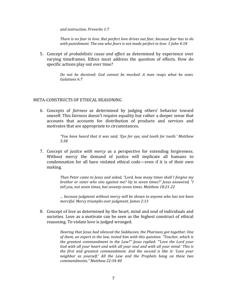*and instruction. Proverbs 1:7* 

There is no fear in love. But perfect love drives out fear, because fear has to do with punishment. The one who fears is not made perfect in love. 1 John 4:18

5. Concept of *probabilistic cause and effect* as determined by experience over varying timeframes. Ethics must address the question of effects. How do specific actions play out over time?

> *Do not be deceived: God cannot be mocked. A man reaps what he sows. Galatians 6:7*

#### META-CONSTRUCTS OF ETHICAL REASONING

6. Concepts of *fairness*  as determined by judging others' behavior toward oneself. This fairness doesn't require equality but rather a deeper sense that accounts that accounts for distribution of products and services and motivates that are appropriate to circumstances.

> *"You have heard that it was said, 'Eye for eye, and tooth for tooth.' Matthew 5:38*

7. Concept of *justice with mercy* as a perspective for extending forgiveness. Without mercy the demand of justice will implicate all humans to condemnation for all have violated ethical code—even if it is of their own making.

> *Then Peter came to Jesus and asked, "Lord, how many times shall I forgive my brother or sister who sins against me? Up to seven times?" Jesus answered, "I* tell you, not seven times, but seventy-seven times. Matthew 18:21-22

> *… because judgment without mercy will be shown to anyone who has not been merciful. Mercy triumphs over judgment. James 2:13*

8. Concept of *love* as determined by the heart, mind and soul of individuals and societies. Love as a motivate can be seen as the highest construct of ethical reasoning. To violate love is judged wronged.

> *Hearing that lesus had silenced the Sadducees, the Pharisees got together. One* of them, an expert in the law, tested him with this question: "Teacher, which is *the greatest commandment in the Law?" Jesus replied: "'Love the Lord your* God with all your heart and with all your soul and with all your mind.' This is *the first and greatest commandment. And the second is like it: 'Love your* neighbor as yourself.' All the Law and the Prophets hang on these two *commandments." Matthew 22:34-40*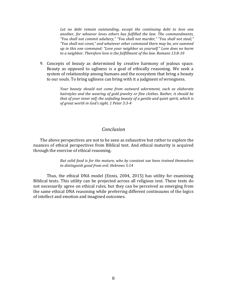Let no debt remain outstanding, except the continuing debt to love one another, for whoever loves others has fulfilled the law. The commandments, "You shall not commit adultery," "You shall not murder," "You shall not steal," "You shall not covet," and whatever other command there may be, are summed *up* in this one command: "Love your neighbor as yourself." Love does no harm to a neighbor. Therefore love is the fulfillment of the law. Romans 13:8-10

9. Concepts of *beauty* as determined by creative harmony of jealous space. Beauty as opposed to ugliness is a goal of ethically reasoning. We seek a system of relationship among humans and the ecosystem that bring a beauty to our souls. To bring ugliness can bring with it a judgment of wrongness.

> *Your beauty should not come from outward adornment, such as elaborate hairstyles and the wearing of gold jewelry or fine clothes. Rather, it should be that of your inner self, the unfading beauty of a gentle and quiet spirit, which is of great worth in God's sight. 1 Peter 3:3-4*

### *Conclusion*

The above perspectives are not to be seen as exhaustive but rather to explore the nuances of ethical perspectives from Biblical text. And ethical maturity is acquired through the exercise of ethical reasoning.

> *But solid food is for the mature, who by constant use have trained themselves* to distinguish good from evil. Hebrews 5:14

Thus, the ethical DNA model (Ennis,  $2004$ ,  $2015$ ) has utility for examining Biblical texts. This utility can be projected across all religious text. These texts do not necessarily agree on ethical rules, but they can be perceived as emerging from the same ethical DNA reasoning while preferring different continuums of the logics of intellect and emotion and imagined outcomes.